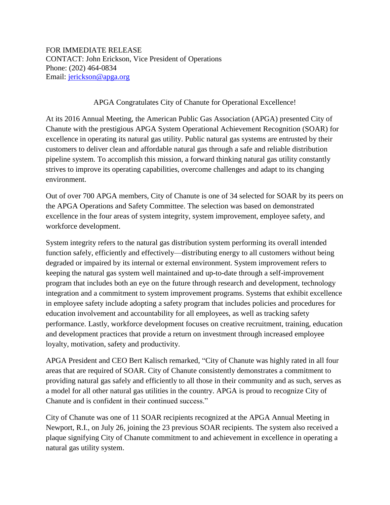FOR IMMEDIATE RELEASE CONTACT: John Erickson, Vice President of Operations Phone: (202) 464‐0834 Email: [jerickson@apga.org](mailto:jerickson@apga.org)

## APGA Congratulates City of Chanute for Operational Excellence!

At its 2016 Annual Meeting, the American Public Gas Association (APGA) presented City of Chanute with the prestigious APGA System Operational Achievement Recognition (SOAR) for excellence in operating its natural gas utility. Public natural gas systems are entrusted by their customers to deliver clean and affordable natural gas through a safe and reliable distribution pipeline system. To accomplish this mission, a forward thinking natural gas utility constantly strives to improve its operating capabilities, overcome challenges and adapt to its changing environment.

Out of over 700 APGA members, City of Chanute is one of 34 selected for SOAR by its peers on the APGA Operations and Safety Committee. The selection was based on demonstrated excellence in the four areas of system integrity, system improvement, employee safety, and workforce development.

System integrity refers to the natural gas distribution system performing its overall intended function safely, efficiently and effectively—distributing energy to all customers without being degraded or impaired by its internal or external environment. System improvement refers to keeping the natural gas system well maintained and up-to-date through a self-improvement program that includes both an eye on the future through research and development, technology integration and a commitment to system improvement programs. Systems that exhibit excellence in employee safety include adopting a safety program that includes policies and procedures for education involvement and accountability for all employees, as well as tracking safety performance. Lastly, workforce development focuses on creative recruitment, training, education and development practices that provide a return on investment through increased employee loyalty, motivation, safety and productivity.

APGA President and CEO Bert Kalisch remarked, "City of Chanute was highly rated in all four areas that are required of SOAR. City of Chanute consistently demonstrates a commitment to providing natural gas safely and efficiently to all those in their community and as such, serves as a model for all other natural gas utilities in the country. APGA is proud to recognize City of Chanute and is confident in their continued success."

City of Chanute was one of 11 SOAR recipients recognized at the APGA Annual Meeting in Newport, R.I., on July 26, joining the 23 previous SOAR recipients. The system also received a plaque signifying City of Chanute commitment to and achievement in excellence in operating a natural gas utility system.